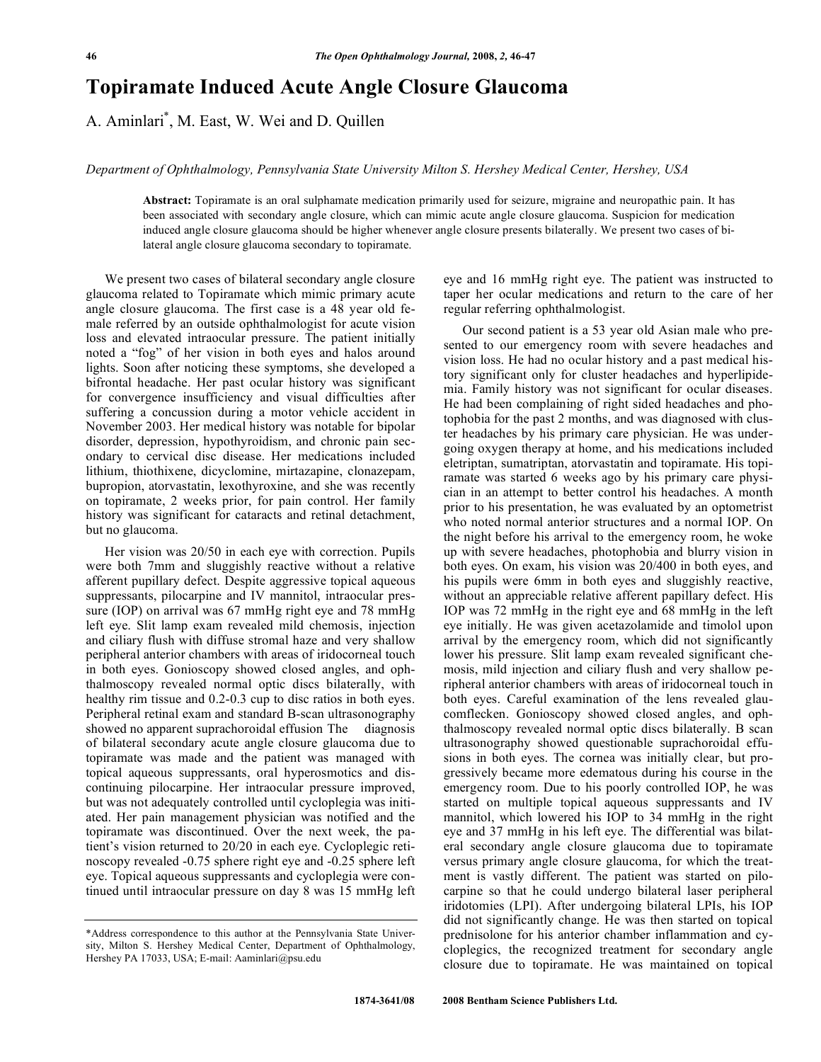## **Topiramate Induced Acute Angle Closure Glaucoma**

A. Aminlari\* , M. East, W. Wei and D. Quillen

*Department of Ophthalmology, Pennsylvania State University Milton S. Hershey Medical Center, Hershey, USA* 

**Abstract:** Topiramate is an oral sulphamate medication primarily used for seizure, migraine and neuropathic pain. It has been associated with secondary angle closure, which can mimic acute angle closure glaucoma. Suspicion for medication induced angle closure glaucoma should be higher whenever angle closure presents bilaterally. We present two cases of bilateral angle closure glaucoma secondary to topiramate.

 We present two cases of bilateral secondary angle closure glaucoma related to Topiramate which mimic primary acute angle closure glaucoma. The first case is a 48 year old female referred by an outside ophthalmologist for acute vision loss and elevated intraocular pressure. The patient initially noted a "fog" of her vision in both eyes and halos around lights. Soon after noticing these symptoms, she developed a bifrontal headache. Her past ocular history was significant for convergence insufficiency and visual difficulties after suffering a concussion during a motor vehicle accident in November 2003. Her medical history was notable for bipolar disorder, depression, hypothyroidism, and chronic pain secondary to cervical disc disease. Her medications included lithium, thiothixene, dicyclomine, mirtazapine, clonazepam, bupropion, atorvastatin, lexothyroxine, and she was recently on topiramate, 2 weeks prior, for pain control. Her family history was significant for cataracts and retinal detachment, but no glaucoma.

 Her vision was 20/50 in each eye with correction. Pupils were both 7mm and sluggishly reactive without a relative afferent pupillary defect. Despite aggressive topical aqueous suppressants, pilocarpine and IV mannitol, intraocular pressure (IOP) on arrival was 67 mmHg right eye and 78 mmHg left eye. Slit lamp exam revealed mild chemosis, injection and ciliary flush with diffuse stromal haze and very shallow peripheral anterior chambers with areas of iridocorneal touch in both eyes. Gonioscopy showed closed angles, and ophthalmoscopy revealed normal optic discs bilaterally, with healthy rim tissue and 0.2-0.3 cup to disc ratios in both eyes. Peripheral retinal exam and standard B-scan ultrasonography showed no apparent suprachoroidal effusion The diagnosis of bilateral secondary acute angle closure glaucoma due to topiramate was made and the patient was managed with topical aqueous suppressants, oral hyperosmotics and discontinuing pilocarpine. Her intraocular pressure improved, but was not adequately controlled until cycloplegia was initiated. Her pain management physician was notified and the topiramate was discontinued. Over the next week, the patient's vision returned to 20/20 in each eye. Cycloplegic retinoscopy revealed -0.75 sphere right eye and -0.25 sphere left eye. Topical aqueous suppressants and cycloplegia were continued until intraocular pressure on day 8 was 15 mmHg left

eye and 16 mmHg right eye. The patient was instructed to taper her ocular medications and return to the care of her regular referring ophthalmologist.

 Our second patient is a 53 year old Asian male who presented to our emergency room with severe headaches and vision loss. He had no ocular history and a past medical history significant only for cluster headaches and hyperlipidemia. Family history was not significant for ocular diseases. He had been complaining of right sided headaches and photophobia for the past 2 months, and was diagnosed with cluster headaches by his primary care physician. He was undergoing oxygen therapy at home, and his medications included eletriptan, sumatriptan, atorvastatin and topiramate. His topiramate was started 6 weeks ago by his primary care physician in an attempt to better control his headaches. A month prior to his presentation, he was evaluated by an optometrist who noted normal anterior structures and a normal IOP. On the night before his arrival to the emergency room, he woke up with severe headaches, photophobia and blurry vision in both eyes. On exam, his vision was 20/400 in both eyes, and his pupils were 6mm in both eyes and sluggishly reactive, without an appreciable relative afferent papillary defect. His IOP was 72 mmHg in the right eye and 68 mmHg in the left eye initially. He was given acetazolamide and timolol upon arrival by the emergency room, which did not significantly lower his pressure. Slit lamp exam revealed significant chemosis, mild injection and ciliary flush and very shallow peripheral anterior chambers with areas of iridocorneal touch in both eyes. Careful examination of the lens revealed glaucomflecken. Gonioscopy showed closed angles, and ophthalmoscopy revealed normal optic discs bilaterally. B scan ultrasonography showed questionable suprachoroidal effusions in both eyes. The cornea was initially clear, but progressively became more edematous during his course in the emergency room. Due to his poorly controlled IOP, he was started on multiple topical aqueous suppressants and IV mannitol, which lowered his IOP to 34 mmHg in the right eye and 37 mmHg in his left eye. The differential was bilateral secondary angle closure glaucoma due to topiramate versus primary angle closure glaucoma, for which the treatment is vastly different. The patient was started on pilocarpine so that he could undergo bilateral laser peripheral iridotomies (LPI). After undergoing bilateral LPIs, his IOP did not significantly change. He was then started on topical prednisolone for his anterior chamber inflammation and cycloplegics, the recognized treatment for secondary angle closure due to topiramate. He was maintained on topical

<sup>\*</sup>Address correspondence to this author at the Pennsylvania State University, Milton S. Hershey Medical Center, Department of Ophthalmology, Hershey PA 17033, USA; E-mail: Aaminlari@psu.edu